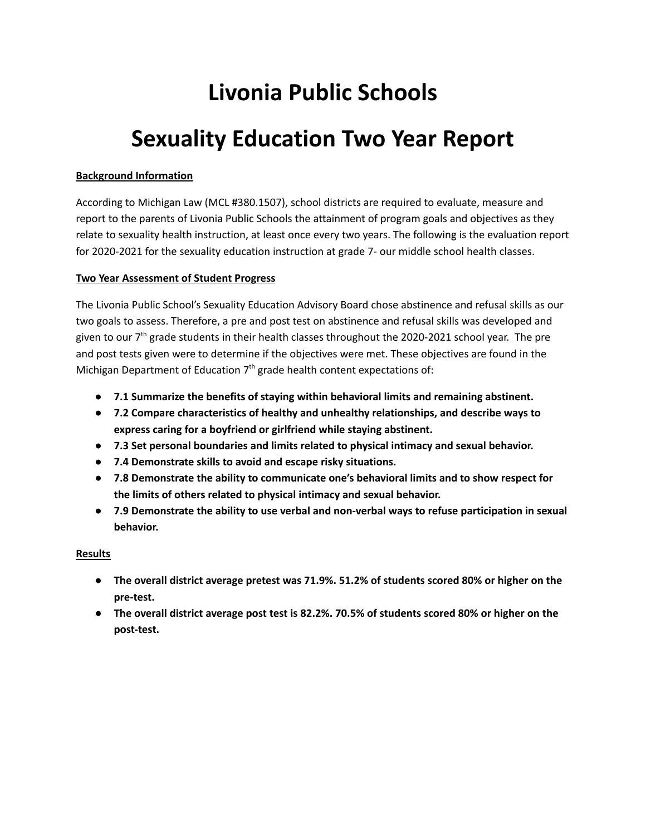# **Livonia Public Schools**

# **Sexuality Education Two Year Report**

### **Background Information**

 According to Michigan Law (MCL #380.1507), school districts are required to evaluate, measure and report to the parents of Livonia Public Schools the attainment of program goals and objectives as they relate to sexuality health instruction, at least once every two years. The following is the evaluation report for 2020-2021 for the sexuality education instruction at grade 7- our middle school health classes.

### **Two Year Assessment of Student Progress**

 The Livonia Public School's Sexuality Education Advisory Board chose abstinence and refusal skills as our two goals to assess. Therefore, a pre and post test on abstinence and refusal skills was developed and given to our 7<sup>th</sup> grade students in their health classes throughout the 2020-2021 school year. The pre and post tests given were to determine if the objectives were met. These objectives are found in the Michigan Department of Education  $7<sup>th</sup>$  grade health content expectations of:

- **● 7.1 Summarize the benefits of staying within behavioral limits and remaining abstinent.**
- **● 7.2 Compare characteristics of healthy and unhealthy relationships, and describe ways to express caring for a boyfriend or girlfriend while staying abstinent.**
- **● 7.3 Set personal boundaries and limits related to physical intimacy and sexual behavior.**
- **● 7.4 Demonstrate skills to avoid and escape risky situations.**
- **● 7.8 Demonstrate the ability to communicate one's behavioral limits and to show respect for the limits of others related to physical intimacy and sexual behavior.**
- **● 7.9 Demonstrate the ability to use verbal and non-verbal ways to refuse participation in sexual behavior.**

# **Results**

- **● The overall district average pretest was 71.9%. 51.2% of students scored 80% or higher on the pre-test.**
- The overall district average post test is 82.2%. 70.5% of students scored 80% or higher on the **post-test.**